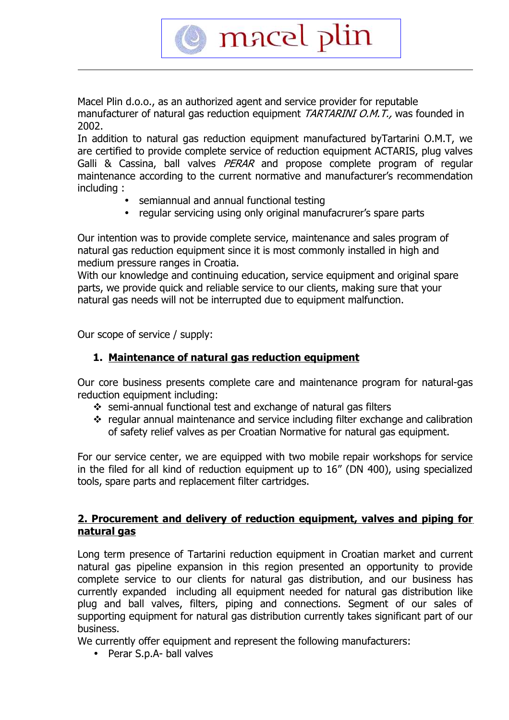Macel Plin d.o.o., as an authorized agent and service provider for reputable manufacturer of natural gas reduction equipment TARTARINI O.M.T., was founded in 2002.

macel plin

In addition to natural gas reduction equipment manufactured byTartarini O.M.T, we are certified to provide complete service of reduction equipment ACTARIS, plug valves Galli & Cassina, ball valves PERAR and propose complete program of regular maintenance according to the current normative and manufacturer's recommendation including :

- semiannual and annual functional testing
- regular servicing using only original manufacrurer's spare parts

Our intention was to provide complete service, maintenance and sales program of natural gas reduction equipment since it is most commonly installed in high and medium pressure ranges in Croatia.

With our knowledge and continuing education, service equipment and original spare parts, we provide quick and reliable service to our clients, making sure that your natural gas needs will not be interrupted due to equipment malfunction.

Our scope of service / supply:

### **1. Maintenance of natural gas reduction equipment**

Our core business presents complete care and maintenance program for natural-gas reduction equipment including:

- semi-annual functional test and exchange of natural gas filters
- regular annual maintenance and service including filter exchange and calibration of safety relief valves as per Croatian Normative for natural gas equipment.

For our service center, we are equipped with two mobile repair workshops for service in the filed for all kind of reduction equipment up to 16" (DN 400), using specialized tools, spare parts and replacement filter cartridges.

#### **2. Procurement and delivery of reduction equipment, valves and piping for natural gas**

Long term presence of Tartarini reduction equipment in Croatian market and current natural gas pipeline expansion in this region presented an opportunity to provide complete service to our clients for natural gas distribution, and our business has currently expanded including all equipment needed for natural gas distribution like plug and ball valves, filters, piping and connections. Segment of our sales of supporting equipment for natural gas distribution currently takes significant part of our business.

We currently offer equipment and represent the following manufacturers:

• Perar S.p.A- ball valves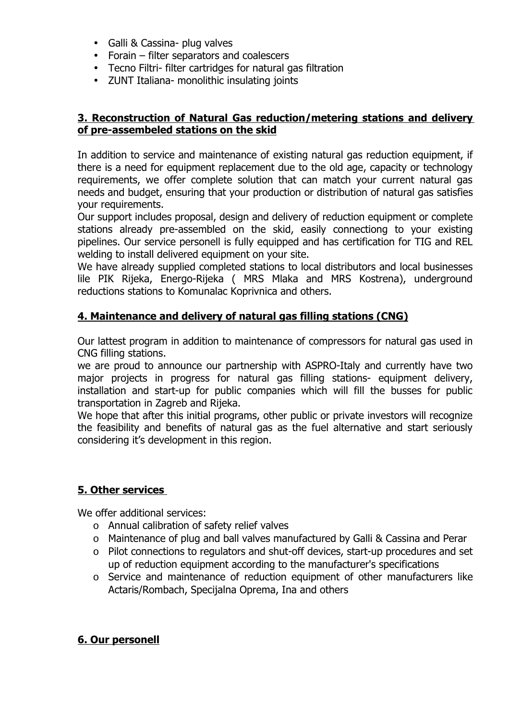- Galli & Cassina- plug valves
- Forain filter separators and coalescers
- Tecno Filtri- filter cartridges for natural gas filtration
- ZUNT Italiana- monolithic insulating joints

### **3. Reconstruction of Natural Gas reduction/metering stations and delivery of pre-assembeled stations on the skid**

In addition to service and maintenance of existing natural gas reduction equipment, if there is a need for equipment replacement due to the old age, capacity or technology requirements, we offer complete solution that can match your current natural gas needs and budget, ensuring that your production or distribution of natural gas satisfies your requirements.

Our support includes proposal, design and delivery of reduction equipment or complete stations already pre-assembled on the skid, easily connectiong to your existing pipelines. Our service personell is fully equipped and has certification for TIG and REL welding to install delivered equipment on your site.

We have already supplied completed stations to local distributors and local businesses lile PIK Rijeka, Energo-Rijeka ( MRS Mlaka and MRS Kostrena), underground reductions stations to Komunalac Koprivnica and others.

# **4. Maintenance and delivery of natural gas filling stations (CNG)**

Our lattest program in addition to maintenance of compressors for natural gas used in CNG filling stations.

we are proud to announce our partnership with ASPRO-Italy and currently have two major projects in progress for natural gas filling stations- equipment delivery, installation and start-up for public companies which will fill the busses for public transportation in Zagreb and Rijeka.

We hope that after this initial programs, other public or private investors will recognize the feasibility and benefits of natural gas as the fuel alternative and start seriously considering it's development in this region.

# **5 . Other services**

We offer additional services:

- o Annual calibration of safety relief valves
- o Maintenance of plug and ball valves manufactured by Galli & Cassina and Perar
- o Pilot connections to regulators and shut-off devices, start-up procedures and set up of reduction equipment according to the manufacturer's specifications
- o Service and maintenance of reduction equipment of other manufacturers like Actaris/Rombach, Specijalna Oprema, Ina and others

### **6 . Our personell**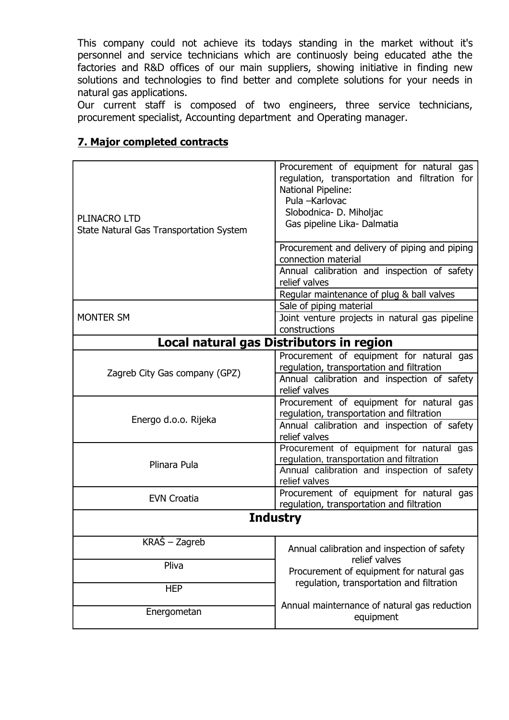This company could not achieve its todays standing in the market without it's personnel and service technicians which are continuosly being educated athe the factories and R&D offices of our main suppliers, showing initiative in finding new solutions and technologies to find better and complete solutions for your needs in natural gas applications.

Our current staff is composed of two engineers, three service technicians, procurement specialist, Accounting department and Operating manager.

| PLINACRO LTD<br>State Natural Gas Transportation System | Procurement of equipment for natural gas<br>regulation, transportation and filtration for<br>National Pipeline:<br>Pula -Karlovac<br>Slobodnica- D. Miholjac<br>Gas pipeline Lika- Dalmatia |
|---------------------------------------------------------|---------------------------------------------------------------------------------------------------------------------------------------------------------------------------------------------|
|                                                         | Procurement and delivery of piping and piping<br>connection material<br>Annual calibration and inspection of safety                                                                         |
|                                                         | relief valves                                                                                                                                                                               |
|                                                         | Regular maintenance of plug & ball valves                                                                                                                                                   |
|                                                         | Sale of piping material                                                                                                                                                                     |
| <b>MONTER SM</b>                                        | Joint venture projects in natural gas pipeline<br>constructions                                                                                                                             |
| Local natural gas Distributors in region                |                                                                                                                                                                                             |
| Zagreb City Gas company (GPZ)                           | Procurement of equipment for natural gas<br>regulation, transportation and filtration                                                                                                       |
|                                                         | Annual calibration and inspection of safety<br>relief valves                                                                                                                                |
| Energo d.o.o. Rijeka                                    | Procurement of equipment for natural gas<br>regulation, transportation and filtration                                                                                                       |
|                                                         | Annual calibration and inspection of safety<br>relief valves                                                                                                                                |
| Plinara Pula                                            | Procurement of equipment for natural gas<br>regulation, transportation and filtration                                                                                                       |
|                                                         | Annual calibration and inspection of safety<br>relief valves                                                                                                                                |
| <b>EVN Croatia</b>                                      | Procurement of equipment for natural gas<br>regulation, transportation and filtration                                                                                                       |
| <b>Industry</b>                                         |                                                                                                                                                                                             |
| KRAŠ – Zagreb                                           | Annual calibration and inspection of safety                                                                                                                                                 |
| Pliva                                                   | relief valves<br>Procurement of equipment for natural gas                                                                                                                                   |
| <b>HEP</b>                                              | regulation, transportation and filtration                                                                                                                                                   |
| Energometan                                             | Annual mainternance of natural gas reduction<br>equipment                                                                                                                                   |

### **7. Major completed contracts**